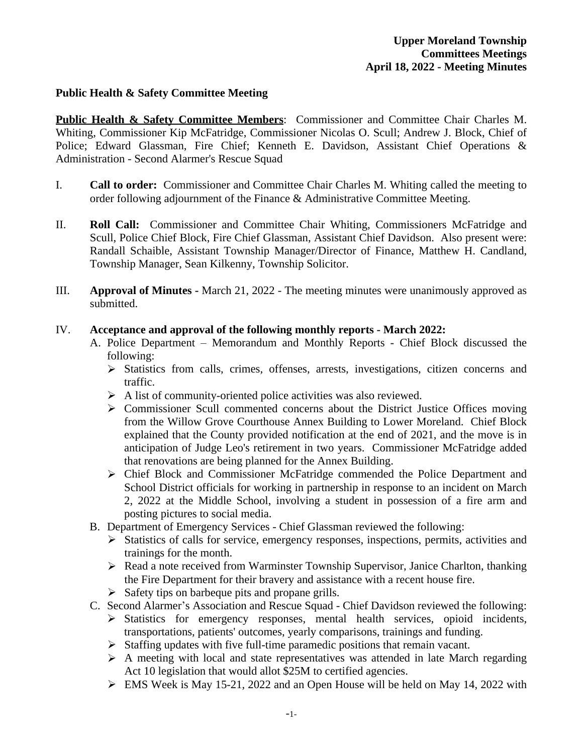## **Public Health & Safety Committee Meeting**

**Public Health & Safety Committee Members**: Commissioner and Committee Chair Charles M. Whiting, Commissioner Kip McFatridge, Commissioner Nicolas O. Scull; Andrew J. Block, Chief of Police; Edward Glassman, Fire Chief; Kenneth E. Davidson, Assistant Chief Operations & Administration - Second Alarmer's Rescue Squad

- I. **Call to order:** Commissioner and Committee Chair Charles M. Whiting called the meeting to order following adjournment of the Finance & Administrative Committee Meeting.
- II. **Roll Call:** Commissioner and Committee Chair Whiting, Commissioners McFatridge and Scull, Police Chief Block, Fire Chief Glassman, Assistant Chief Davidson. Also present were: Randall Schaible, Assistant Township Manager/Director of Finance, Matthew H. Candland, Township Manager, Sean Kilkenny, Township Solicitor.
- III. **Approval of Minutes -** March 21, 2022 The meeting minutes were unanimously approved as submitted.

## IV. **Acceptance and approval of the following monthly reports - March 2022:**

- A. Police Department Memorandum and Monthly Reports Chief Block discussed the following:
	- $\triangleright$  Statistics from calls, crimes, offenses, arrests, investigations, citizen concerns and traffic.
	- $\triangleright$  A list of community-oriented police activities was also reviewed.
	- $\triangleright$  Commissioner Scull commented concerns about the District Justice Offices moving from the Willow Grove Courthouse Annex Building to Lower Moreland. Chief Block explained that the County provided notification at the end of 2021, and the move is in anticipation of Judge Leo's retirement in two years. Commissioner McFatridge added that renovations are being planned for the Annex Building.
	- Chief Block and Commissioner McFatridge commended the Police Department and School District officials for working in partnership in response to an incident on March 2, 2022 at the Middle School, involving a student in possession of a fire arm and posting pictures to social media.
- B. Department of Emergency Services Chief Glassman reviewed the following:
	- $\triangleright$  Statistics of calls for service, emergency responses, inspections, permits, activities and trainings for the month.
	- $\triangleright$  Read a note received from Warminster Township Supervisor, Janice Charlton, thanking the Fire Department for their bravery and assistance with a recent house fire.
	- $\triangleright$  Safety tips on barbeque pits and propane grills.
- C. Second Alarmer's Association and Rescue Squad Chief Davidson reviewed the following:
	- Statistics for emergency responses, mental health services, opioid incidents, transportations, patients' outcomes, yearly comparisons, trainings and funding.
	- $\triangleright$  Staffing updates with five full-time paramedic positions that remain vacant.
	- $\triangleright$  A meeting with local and state representatives was attended in late March regarding Act 10 legislation that would allot \$25M to certified agencies.
	- EMS Week is May 15-21, 2022 and an Open House will be held on May 14, 2022 with